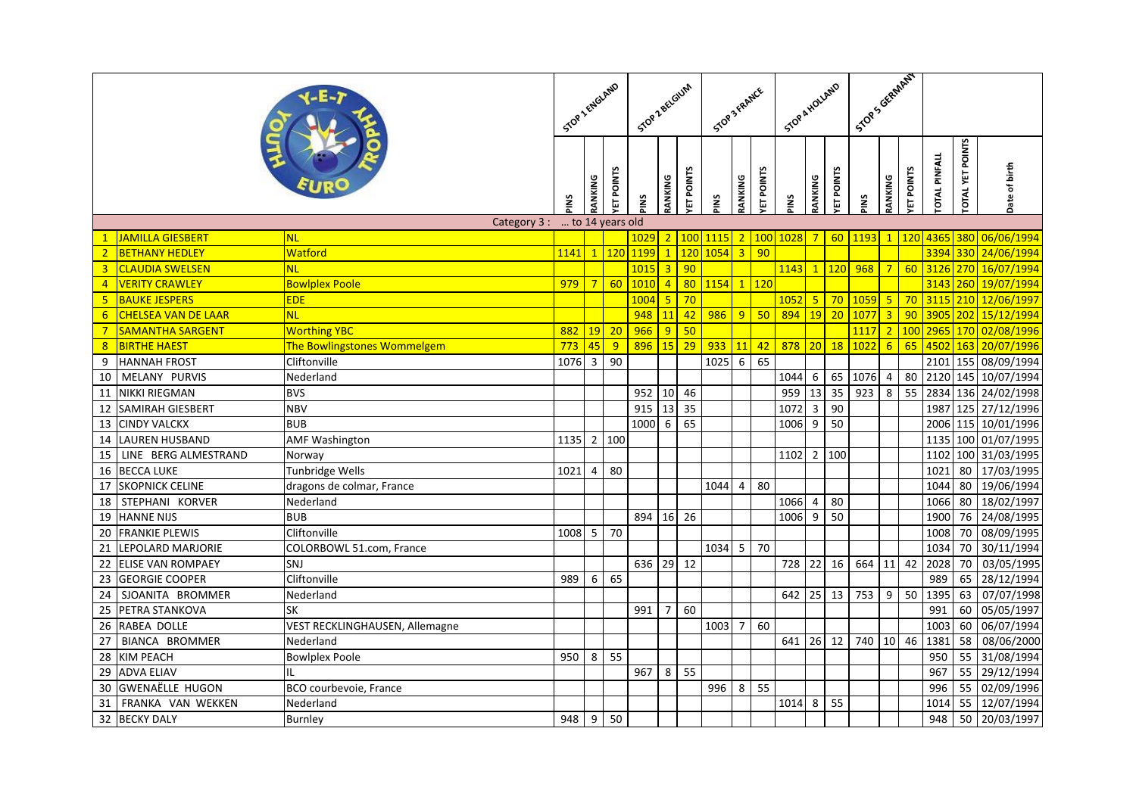|                |                            |                                |                 | STOP 1 ENGLAND<br>Stop 2 BELGIUM |                   |      | STOP 3 FRANCE   |                  |      |                 | Stop & HOLLAND     |            |                 |                 | I Trans Graph RT |                |                 |                     |                        |                                 |
|----------------|----------------------------|--------------------------------|-----------------|----------------------------------|-------------------|------|-----------------|------------------|------|-----------------|--------------------|------------|-----------------|-----------------|------------------|----------------|-----------------|---------------------|------------------------|---------------------------------|
|                |                            |                                |                 | RANKING                          | <b>ETPOINTS</b>   | PINS | RANKING         | <b>ET POINTS</b> | PINS | RANKING         | <b>ETPOINTS</b>    | PINS       | RANKING         | <b>ETPOINTS</b> | <b>PINS</b>      | RANKING        | <b>ETPOINTS</b> | <b>OTAL PINFALL</b> | <b>OTAL YET POINTS</b> | Date of birth                   |
|                |                            | Category 3:                    | to 14 years old |                                  |                   |      |                 |                  |      |                 |                    |            |                 |                 |                  |                |                 |                     |                        |                                 |
| $\mathbf{1}$   | JAMILLA GIESBERT           | <b>NL</b>                      |                 |                                  |                   | 1029 |                 | 2 100            | 1115 |                 |                    | 2 100 1028 | $7\overline{}$  |                 | 60 1193          | $\mathbf{1}$   | <b>120</b>      | 4365                |                        | 380 06/06/1994                  |
| 2 <sup>1</sup> | <b>BETHANY HEDLEY</b>      | Watford                        | 1141 1 120      |                                  |                   | 1199 | $\overline{1}$  | <b>120</b>       | 1054 |                 | $3 \mid 90$        |            |                 |                 |                  |                |                 | 3394                |                        | 330 24/06/1994                  |
| $\overline{3}$ | <b>CLAUDIA SWELSEN</b>     | <b>NL</b>                      |                 |                                  |                   | 1015 | $\overline{3}$  | 90               |      |                 |                    | 1143       | $\mathbf{1}$    | <b>120</b>      | 968              | $7\overline{}$ | 60              | 312(                |                        | 270 16/07/1994                  |
| $\overline{4}$ | <b>VERITY CRAWLEY</b>      | <b>Bowlplex Poole</b>          | $979$ 7         |                                  | 60                | 1010 | $\overline{4}$  | 80               | 1154 |                 | 1 120              |            |                 |                 |                  |                |                 | 3143                |                        | 260 19/07/1994                  |
| 5 <sub>1</sub> | <b>BAUKE JESPERS</b>       | <b>EDE</b>                     |                 |                                  |                   | 1004 | $\overline{5}$  | 70               |      |                 |                    | 1052       | 5 <sub>o</sub>  | 70              | 1059             | 5 <sub>1</sub> | 70              | 3115                |                        | 210 12/06/1997                  |
| $6^{\circ}$    | <b>CHELSEA VAN DE LAAR</b> | <b>NL</b>                      |                 |                                  |                   | 948  | 11              | 42               | 986  |                 | $9 \overline{)50}$ | 894        | <b>19</b>       | $\overline{20}$ | 1077             | $\overline{3}$ | 90              | 3905                |                        | 202 15/12/1994                  |
| $\overline{7}$ | <b>SAMANTHA SARGENT</b>    | <b>Worthing YBC</b>            | 882             | 19                               | $\vert$ 20        | 966  | 9               | 50               |      |                 |                    |            |                 |                 | 1117             | $\overline{2}$ | 100             | 2965                |                        | 170 02/08/1996                  |
| 8              | <b>BIRTHE HAEST</b>        | The Bowlingstones Wommelgem    | 773             | 45                               | 9                 | 896  | 15              | 29               | 933  | 11              | 42                 | 878        | 20 <sup>1</sup> | $\overline{18}$ | 1022             | 6              | 65              | 4502                |                        | 163 20/07/1996                  |
| 9              | <b>HANNAH FROST</b>        | Cliftonville                   | 1076            | س                                | $\overline{90}$   |      |                 |                  | 1025 | $6\overline{6}$ | 65                 |            |                 |                 |                  |                |                 |                     |                        | 2101 155 08/09/1994             |
| 10             | MELANY PURVIS              | Nederland                      |                 |                                  |                   |      |                 |                  |      |                 |                    | 1044       | 6               | 65              | 1076             | 4              | 80              | 2120                |                        | 145 10/07/1994                  |
| 11             | <b>NIKKI RIEGMAN</b>       | <b>BVS</b>                     |                 |                                  |                   | 952  |                 | 10 46            |      |                 |                    | 959        | 13              | 35              | 923              | $\overline{8}$ | 55              | 2834                |                        | 136 24/02/1998                  |
| 12             | SAMIRAH GIESBERT           | <b>NBV</b>                     |                 |                                  |                   | 915  | $\overline{13}$ | 35               |      |                 |                    | 1072       | 3               | 90              |                  |                |                 | 1987                | 125                    | $\frac{1}{27}{\frac{12}{1996}}$ |
| 13             | <b>CINDY VALCKX</b>        | <b>BUB</b>                     |                 |                                  |                   | 1000 | 6               | 65               |      |                 |                    | 1006       | 9               | 50              |                  |                |                 | 2006                |                        | 115 10/01/1996                  |
| 14             | <b>LAUREN HUSBAND</b>      | <b>AMF Washington</b>          | 1135            |                                  | 2 100             |      |                 |                  |      |                 |                    |            |                 |                 |                  |                |                 | 1135                |                        | 100 01/07/1995                  |
| 15             | LINE BERG ALMESTRAND       | Norway                         |                 |                                  |                   |      |                 |                  |      |                 |                    | 1102       |                 | $2 \mid 100$    |                  |                |                 | 1102                |                        | 100 31/03/1995                  |
| 16             | <b>BECCA LUKE</b>          | Tunbridge Wells                | 1021            | 4                                | 80                |      |                 |                  |      |                 |                    |            |                 |                 |                  |                |                 | 1021                | 80                     | 17/03/1995                      |
| 17             | <b>SKOPNICK CELINE</b>     | dragons de colmar, France      |                 |                                  |                   |      |                 |                  | 1044 | $\overline{4}$  | 80                 |            |                 |                 |                  |                |                 | 1044                | 80                     | 19/06/1994                      |
| 18             | STEPHANI KORVER            | Nederland                      |                 |                                  |                   |      |                 |                  |      |                 |                    | 1066       | 4               | 80              |                  |                |                 | 1066                | 80                     | 18/02/1997                      |
| 19             | <b>HANNE NIJS</b>          | <b>BUB</b>                     |                 |                                  |                   | 894  | 16              | 26               |      |                 |                    | 1006       | 9               | 50              |                  |                |                 | 1900                | 76                     | 24/08/1995                      |
| 20             | <b>FRANKIE PLEWIS</b>      | Cliftonville                   | 1008 5 70       |                                  |                   |      |                 |                  |      |                 |                    |            |                 |                 |                  |                |                 | 1008                | 70                     | 08/09/1995                      |
| 21             | LEPOLARD MARJORIE          | COLORBOWL 51.com, France       |                 |                                  |                   |      |                 |                  | 1034 | 5 <sup>1</sup>  | 70                 |            |                 |                 |                  |                |                 | 1034                | 70                     | 30/11/1994                      |
| 22             | <b>ELISE VAN ROMPAEY</b>   | SNJ                            |                 |                                  |                   | 636  |                 | 29 12            |      |                 |                    | 728        | 22              | 16              | 664              | 11             | 42              | 2028                | 70                     | 03/05/1995                      |
| 23             | <b>GEORGIE COOPER</b>      | Cliftonville                   | 989             | 6                                | 65                |      |                 |                  |      |                 |                    |            |                 |                 |                  |                |                 | 989                 | 65                     | 28/12/1994                      |
| 24             | SJOANITA BROMMER           | Nederland                      |                 |                                  |                   |      |                 |                  |      |                 |                    | 642        |                 | $25$ 13         | 753              |                | $9 \mid 50$     | 1395                | 63                     | 07/07/1998                      |
| 25             | PETRA STANKOVA             | <b>SK</b>                      |                 |                                  |                   | 991  | $\overline{7}$  | 60               |      |                 |                    |            |                 |                 |                  |                |                 | 991                 | 60                     | 05/05/1997                      |
| 26             | RABEA DOLLE                | VEST RECKLINGHAUSEN, Allemagne |                 |                                  |                   |      |                 |                  | 1003 | $\overline{7}$  | 60                 |            |                 |                 |                  |                |                 | 1003                | 60                     | 06/07/1994                      |
| 27             | BIANCA BROMMER             | Nederland                      |                 |                                  |                   |      |                 |                  |      |                 |                    | 641        |                 | 26 12           | 740 10           |                | 46              | 1381                | 58                     | 08/06/2000                      |
| 28             | <b>KIM PEACH</b>           | <b>Bowlplex Poole</b>          | 950             |                                  | $8 \overline{55}$ |      |                 |                  |      |                 |                    |            |                 |                 |                  |                |                 | 950                 | 55                     | 31/08/1994                      |
| 29             | <b>ADVA ELIAV</b>          | II.                            |                 |                                  |                   | 967  | 8               | 55               |      |                 |                    |            |                 |                 |                  |                |                 | 967                 | 55                     | 29/12/1994                      |
| 30             | <b>GWENAËLLE HUGON</b>     | BCO courbevoie, France         |                 |                                  |                   |      |                 |                  | 996  | 8               | 55                 |            |                 |                 |                  |                |                 | 996                 | 55                     | 02/09/1996                      |
| 31             | FRANKA VAN WEKKEN          | Nederland                      |                 |                                  |                   |      |                 |                  |      |                 |                    | 1014       | 8               | 55              |                  |                |                 | 1014                | 55                     | 12/07/1994                      |
| 32             | <b>BECKY DALY</b>          | <b>Burnley</b>                 | 948             | 9                                | 50                |      |                 |                  |      |                 |                    |            |                 |                 |                  |                |                 | 948                 | 50                     | 20/03/1997                      |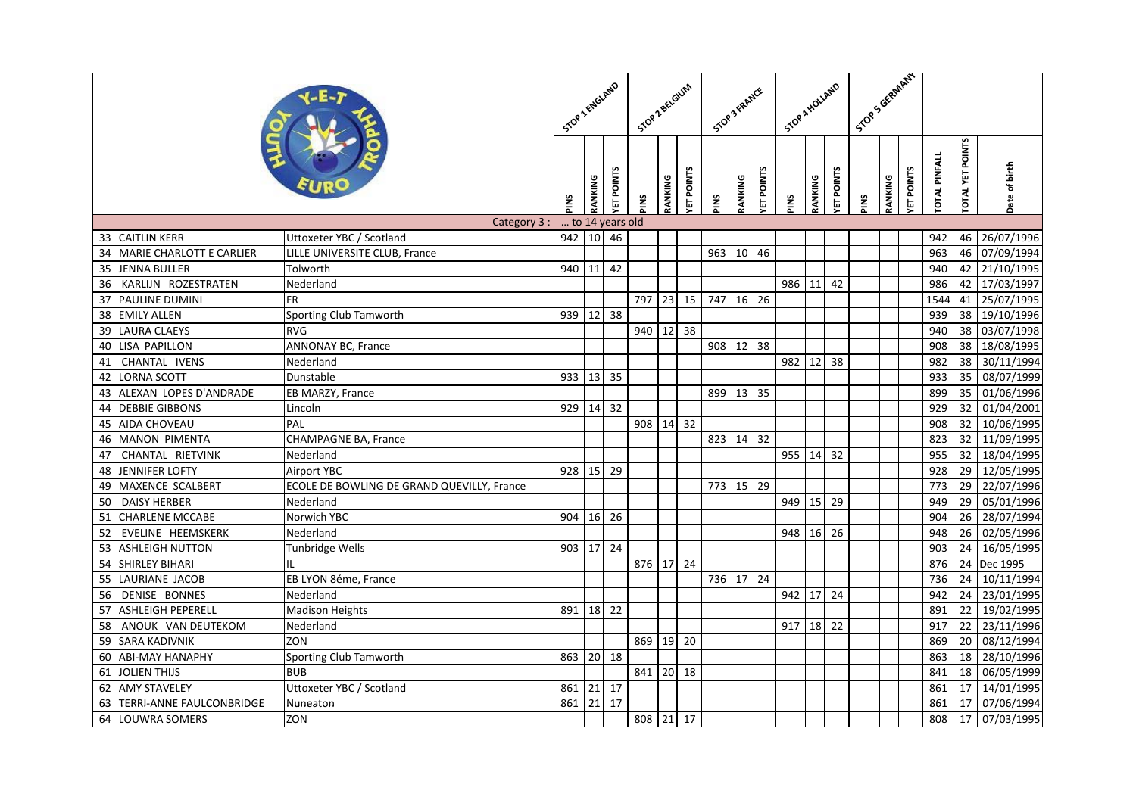|    |                                 |                                            |                 | STOP 1 ENGLAND<br>Stop Z BELGIUM |                  |           | STOP 3 FRANCE |                  |           |         | Stop & HOLLAND   |             |         | J. Stock General Assessment |             |         |                  |                      |                         |                         |
|----|---------------------------------|--------------------------------------------|-----------------|----------------------------------|------------------|-----------|---------------|------------------|-----------|---------|------------------|-------------|---------|-----------------------------|-------------|---------|------------------|----------------------|-------------------------|-------------------------|
|    |                                 |                                            |                 | RANKING                          | <b>ET POINTS</b> | PINS      | RANKING       | <b>ET POINTS</b> | PINS      | RANKING | <b>ET POINTS</b> | PINS        | RANKING | <b>ET POINTS</b>            | <b>PINS</b> | RANKING | <b>ET POINTS</b> | <b>TOTAL PINFALL</b> | <b>COTAL YET POINTS</b> | Date of birth           |
|    |                                 | Category 3:                                | to 14 years old |                                  |                  |           |               |                  |           |         |                  |             |         |                             |             |         |                  |                      |                         |                         |
|    | 33 CAITLIN KERR                 | Uttoxeter YBC / Scotland                   | 942 10 46       |                                  |                  |           |               |                  |           |         |                  |             |         |                             |             |         |                  | 942                  |                         | 46 26/07/1996           |
| 34 | <b>MARIE CHARLOTT E CARLIER</b> | LILLE UNIVERSITE CLUB, France              |                 |                                  |                  |           |               |                  | 963       |         | 10 46            |             |         |                             |             |         |                  | 963                  | 46                      | 07/09/1994              |
| 35 | <b>JENNA BULLER</b>             | Tolworth                                   | 940 11          |                                  | 42               |           |               |                  |           |         |                  |             |         |                             |             |         |                  | 940                  |                         | 42 21/10/1995           |
| 36 | KARLIJN ROZESTRATEN             | Nederland                                  |                 |                                  |                  |           |               |                  |           |         |                  | 986         | 11      | 42                          |             |         |                  | 986                  | 42                      | 17/03/1997              |
| 37 | PAULINE DUMINI                  | <b>FR</b>                                  |                 |                                  |                  | 797       | 23            | 15               | 747       |         | 16 26            |             |         |                             |             |         |                  | 1544                 | 41                      | 25/07/1995              |
| 38 | <b>EMILY ALLEN</b>              | Sporting Club Tamworth                     | 939 12          |                                  | 38               |           |               |                  |           |         |                  |             |         |                             |             |         |                  | 939                  | 38                      | 19/10/1996              |
| 39 | <b>LAURA CLAEYS</b>             | <b>RVG</b>                                 |                 |                                  |                  | 940       | 12            | 38               |           |         |                  |             |         |                             |             |         |                  | 940                  | 38                      | 03/07/1998              |
| 40 | LISA PAPILLON                   | <b>ANNONAY BC, France</b>                  |                 |                                  |                  |           |               |                  | 908       | 12      | 38               |             |         |                             |             |         |                  | 908                  | 38                      | 18/08/1995              |
| 41 | CHANTAL IVENS                   | Nederland                                  |                 |                                  |                  |           |               |                  |           |         |                  | 982         | 12      | 38                          |             |         |                  | 982                  | 38                      | 30/11/1994              |
| 42 | <b>LORNA SCOTT</b>              | Dunstable                                  | 933 13          |                                  | 35               |           |               |                  |           |         |                  |             |         |                             |             |         |                  | 933                  | 35                      | $\frac{1}{08}$ /07/1999 |
| 43 | ALEXAN LOPES D'ANDRADE          | EB MARZY, France                           |                 |                                  |                  |           |               |                  | 899       | 13 35   |                  |             |         |                             |             |         |                  | 899                  | 35                      | 01/06/1996              |
| 44 | <b>DEBBIE GIBBONS</b>           | Lincoln                                    | 929 14          |                                  | 32               |           |               |                  |           |         |                  |             |         |                             |             |         |                  | 929                  | 32                      | 01/04/2001              |
| 45 | <b>AIDA CHOVEAU</b>             | PAL                                        |                 |                                  |                  | 908       | 14            | 32               |           |         |                  |             |         |                             |             |         |                  | 908                  | 32                      | 10/06/1995              |
| 46 | <b>MANON PIMENTA</b>            | CHAMPAGNE BA, France                       |                 |                                  |                  |           |               |                  | 823       | 14      | 32               |             |         |                             |             |         |                  | 823                  | 32                      | 11/09/1995              |
| 47 | <b>CHANTAL RIETVINK</b>         | Nederland                                  |                 |                                  |                  |           |               |                  |           |         |                  | $955$ 14 32 |         |                             |             |         |                  | 955                  | $\overline{32}$         | 18/04/1995              |
| 48 | <b>JENNIFER LOFTY</b>           | <b>Airport YBC</b>                         | 928 15 29       |                                  |                  |           |               |                  |           |         |                  |             |         |                             |             |         |                  | 928                  | 29                      | 12/05/1995              |
| 49 | MAXENCE SCALBERT                | ECOLE DE BOWLING DE GRAND QUEVILLY, France |                 |                                  |                  |           |               |                  | 773       | 15 29   |                  |             |         |                             |             |         |                  | 773                  | 29                      | 22/07/1996              |
| 50 | <b>DAISY HERBER</b>             | Nederland                                  |                 |                                  |                  |           |               |                  |           |         |                  | 949         | 15      | 29                          |             |         |                  | 949                  | 29                      | 05/01/1996              |
| 51 | <b>CHARLENE MCCABE</b>          | Norwich YBC                                | 904 16 26       |                                  |                  |           |               |                  |           |         |                  |             |         |                             |             |         |                  | 904                  | 26                      | 28/07/1994              |
| 52 | EVELINE HEEMSKERK               | Nederland                                  |                 |                                  |                  |           |               |                  |           |         |                  | 948         |         | 16 26                       |             |         |                  | 948                  | 26                      | 02/05/1996              |
| 53 | <b>ASHLEIGH NUTTON</b>          | <b>Tunbridge Wells</b>                     | 903 17 24       |                                  |                  |           |               |                  |           |         |                  |             |         |                             |             |         |                  | 903                  | 24                      | 16/05/1995              |
| 54 | <b>SHIRLEY BIHARI</b>           | IL                                         |                 |                                  |                  | 876       | 17            | $\overline{24}$  |           |         |                  |             |         |                             |             |         |                  | 876                  | 24                      | Dec 1995                |
| 55 | LAURIANE JACOB                  | EB LYON 8éme, France                       |                 |                                  |                  |           |               |                  | 736 17 24 |         |                  |             |         |                             |             |         |                  | 736                  | 24                      | 10/11/1994              |
| 56 | DENISE BONNES                   | Nederland                                  |                 |                                  |                  |           |               |                  |           |         |                  | 942         |         | 17 24                       |             |         |                  | 942                  | 24                      | 23/01/1995              |
| 57 | <b>ASHLEIGH PEPERELL</b>        | <b>Madison Heights</b>                     | 891 18 22       |                                  |                  |           |               |                  |           |         |                  |             |         |                             |             |         |                  | 891                  | 22                      | 19/02/1995              |
| 58 | ANOUK VAN DEUTEKOM              | Nederland                                  |                 |                                  |                  |           |               |                  |           |         |                  | 917         |         | 18 22                       |             |         |                  | 917                  | $\overline{22}$         | 23/11/1996              |
| 59 | <b>SARA KADIVNIK</b>            | ZON                                        |                 |                                  |                  | 869       | 19            | 20               |           |         |                  |             |         |                             |             |         |                  | 869                  | 20                      | 08/12/1994              |
| 60 | <b>ABI-MAY HANAPHY</b>          | Sporting Club Tamworth                     | 863 20 18       |                                  |                  |           |               |                  |           |         |                  |             |         |                             |             |         |                  | 863                  | 18                      | 28/10/1996              |
| 61 | <b>JOLIEN THIJS</b>             | <b>BUB</b>                                 |                 |                                  |                  | 841       |               | 20 18            |           |         |                  |             |         |                             |             |         |                  | 841                  | 18                      | 06/05/1999              |
| 62 | <b>AMY STAVELEY</b>             | Uttoxeter YBC / Scotland                   | 861             | 21 17                            |                  |           |               |                  |           |         |                  |             |         |                             |             |         |                  | 861                  | 17                      | 14/01/1995              |
| 63 | TERRI-ANNE FAULCONBRIDGE        | Nuneaton                                   | 861             | 21                               | 17               |           |               |                  |           |         |                  |             |         |                             |             |         |                  | 861                  | 17                      | 07/06/1994              |
|    | 64 LOUWRA SOMERS                | ZON                                        |                 |                                  |                  | 808 21 17 |               |                  |           |         |                  |             |         |                             |             |         |                  | 808                  | 17                      | 07/03/1995              |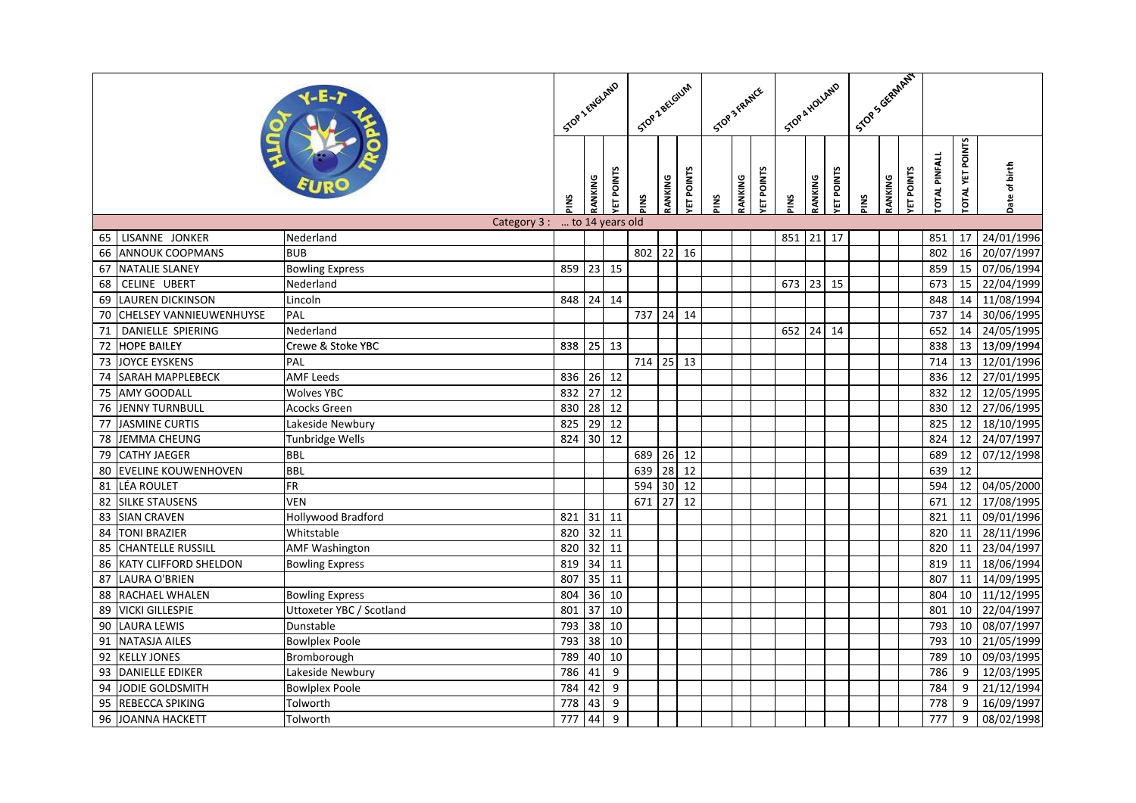| Stor Scientified<br>STOP 1 ENGLAND<br>Stop & HOLLAND<br>Stop 2 BELGIUM<br>STOP 3 FRANCE                                                                                                                                              |                                         |
|--------------------------------------------------------------------------------------------------------------------------------------------------------------------------------------------------------------------------------------|-----------------------------------------|
| <b>OTAL PINFALL</b><br>ET POINTS<br><b>ET POINTS</b><br><b>ET POINTS</b><br><b>ET POINTS</b><br><b>ET POINTS</b><br>RANKING<br>RANKING<br>RANKING<br>RANKING<br>RANKING<br>PINS<br>PINS<br><b>PINS</b><br><b>SNId</b><br><b>PINS</b> | <b>OTAL YET POINTS</b><br>Date of birth |
| Category 3:<br>to 14 years old                                                                                                                                                                                                       |                                         |
| LISANNE JONKER<br>$\overline{17}$<br>21<br>851<br>Nederland<br>851<br>65                                                                                                                                                             | 24/01/1996<br>17                        |
| $22$ 16<br><b>BUB</b><br><b>ANNOUK COOPMANS</b><br>802<br>802<br>66                                                                                                                                                                  | 16<br>20/07/1997                        |
| 67<br><b>NATALIE SLANEY</b><br>859<br>23 15<br>859<br><b>Bowling Express</b>                                                                                                                                                         | 07/06/1994<br>15                        |
| CELINE UBERT<br>673<br>68<br>Nederland<br>673<br>23<br>15                                                                                                                                                                            | 22/04/1999<br>15                        |
| <b>LAUREN DICKINSON</b><br>848 24 14<br>848<br>69<br>Lincoln                                                                                                                                                                         | 11/08/1994<br>14                        |
| 24<br><b>CHELSEY VANNIEUWENHUYSE</b><br>PAL<br>737<br>737<br>14<br>70                                                                                                                                                                | 30/06/1995<br>14                        |
| DANIELLE SPIERING<br>71<br>652 24 14<br>652<br>Nederland                                                                                                                                                                             | 24/05/1995<br>14                        |
| $\overline{72}$<br><b>HOPE BAILEY</b><br>838 25 13<br>838<br>Crewe & Stoke YBC                                                                                                                                                       | 13/09/1994<br>13                        |
| <b>JOYCE EYSKENS</b><br>714<br>$25$ 13<br>714<br>73<br>PAL                                                                                                                                                                           | 13<br>12/01/1996                        |
| SARAH MAPPLEBECK<br>26 12<br><b>AMF Leeds</b><br>836<br>836<br>74                                                                                                                                                                    | 27/01/1995<br>12                        |
| 12<br><b>AMY GOODALL</b><br>832<br>27<br>832<br><b>Wolves YBC</b><br>75                                                                                                                                                              | 12/05/1995<br>12                        |
| 76<br><b>JENNY TURNBULL</b><br>830<br>28<br>12<br>830<br>Acocks Green                                                                                                                                                                | 27/06/1995<br>12                        |
| 12<br>77<br><b>JASMINE CURTIS</b><br>825<br>29<br>825<br>Lakeside Newbury                                                                                                                                                            | 18/10/1995<br>12                        |
| $30$ 12<br><b>JEMMA CHEUNG</b><br>824<br>824<br>78<br>Tunbridge Wells                                                                                                                                                                | 24/07/1997<br>12                        |
| 26 12<br><b>CATHY JAEGER</b><br><b>BBL</b><br>689<br>79<br>689                                                                                                                                                                       | 07/12/1998<br>12                        |
| 639<br>28<br>12<br>80<br><b>EVELINE KOUWENHOVEN</b><br><b>BBL</b><br>639                                                                                                                                                             | 12                                      |
| $\overline{R}$<br>30<br>81<br>LÉA ROULET<br>594<br>12<br>594                                                                                                                                                                         | 04/05/2000<br>12                        |
| 27<br>671<br>12<br><b>SILKE STAUSENS</b><br><b>VEN</b><br>671<br>82                                                                                                                                                                  | $\overline{12}$<br>17/08/1995           |
| <b>SIAN CRAVEN</b><br><b>Hollywood Bradford</b><br>$31$ 11<br>83<br>821<br>821                                                                                                                                                       | 09/01/1996<br>11                        |
| $32$ 11<br>84<br><b>TONI BRAZIER</b><br>820<br>820<br>Whitstable                                                                                                                                                                     | 28/11/1996<br>11                        |
| 820<br>32<br>85<br><b>CHANTELLE RUSSILL</b><br>11<br>820<br><b>AMF Washington</b>                                                                                                                                                    | 11<br>23/04/1997                        |
| <b>KATY CLIFFORD SHELDON</b><br>819<br>34<br>$\overline{11}$<br>819<br>86<br><b>Bowling Express</b>                                                                                                                                  | $\overline{11}$<br>18/06/1994           |
| 35<br><b>LAURA O'BRIEN</b><br>807<br>11<br>807<br>87                                                                                                                                                                                 | 14/09/1995<br>11                        |
| RACHAEL WHALEN<br>36 10<br>804<br>804<br>88<br><b>Bowling Express</b>                                                                                                                                                                | 11/12/1995<br>10                        |
| 37<br>89<br><b>VICKI GILLESPIE</b><br>Uttoxeter YBC / Scotland<br>801<br>10<br>801                                                                                                                                                   | 22/04/1997<br>10                        |
| <b>LAURA LEWIS</b><br>793<br>38<br>10<br>793<br>90<br>Dunstable                                                                                                                                                                      | 08/07/1997<br>10                        |
| <b>NATASJA AILES</b><br>793<br>38<br>10<br>793<br>91<br><b>Bowlplex Poole</b>                                                                                                                                                        | 21/05/1999<br>10                        |
| 10<br><b>KELLY JONES</b><br>789<br>40<br>789<br>92<br>Bromborough                                                                                                                                                                    | 09/03/1995<br>10                        |
| 786<br>41<br>9<br>786<br>93<br><b>DANIELLE EDIKER</b><br>Lakeside Newbury                                                                                                                                                            | 12/03/1995<br>9                         |
| <b>JODIE GOLDSMITH</b><br>42<br>9<br>94<br><b>Bowlplex Poole</b><br>784<br>784                                                                                                                                                       | 21/12/1994<br>9                         |
| REBECCA SPIKING<br>778<br>9<br>778<br>95<br>Tolworth<br>43                                                                                                                                                                           | 16/09/1997<br>9                         |
| <b>JOANNA HACKETT</b><br>44<br>$\overline{9}$<br>Tolworth<br>777<br>777<br>96                                                                                                                                                        | 9<br>08/02/1998                         |